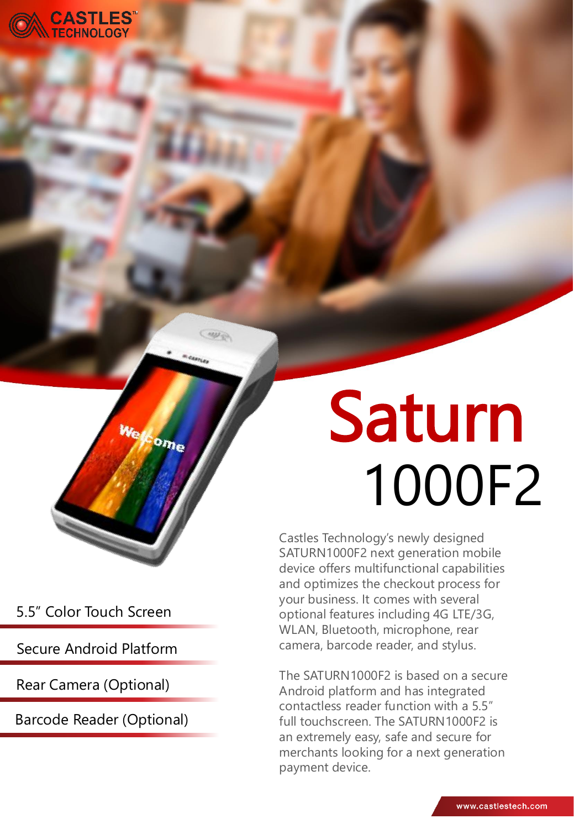

5.5" Color Touch Screen

 $\overline{w_n}$ 

ome

Secure Android Platform

Rear Camera (Optional)

Barcode Reader (Optional)

# Saturn 1000F2

Castles Technology's newly designed SATURN1000F2 next generation mobile device offers multifunctional capabilities and optimizes the checkout process for your business. It comes with several optional features including 4G LTE/3G, WLAN, Bluetooth, microphone, rear camera, barcode reader, and stylus.

The SATURN1000F2 is based on a secure Android platform and has integrated contactless reader function with a 5.5" full touchscreen. The SATURN1000F2 is an extremely easy, safe and secure for merchants looking for a next generation payment device.